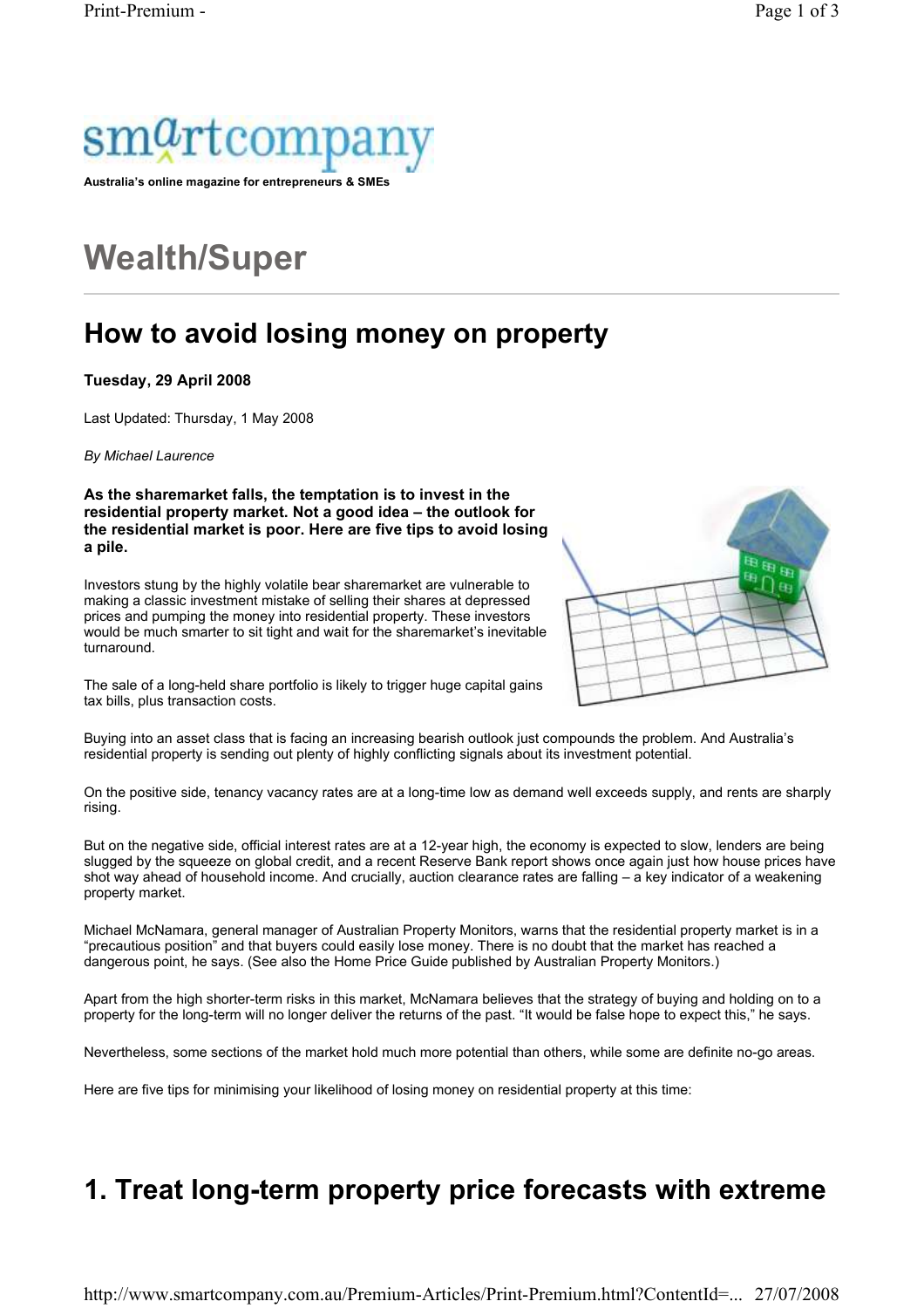# $\mathrm{s}$ m $q$ rtcomp

Australia's online magazine for entrepreneurs & SMEs

## Wealth/Super

### How to avoid losing money on property

#### Tuesday, 29 April 2008

Last Updated: Thursday, 1 May 2008

By Michael Laurence

As the sharemarket falls, the temptation is to invest in the residential property market. Not a good idea – the outlook for the residential market is poor. Here are five tips to avoid losing a pile.

Investors stung by the highly volatile bear sharemarket are vulnerable to making a classic investment mistake of selling their shares at depressed prices and pumping the money into residential property. These investors would be much smarter to sit tight and wait for the sharemarket's inevitable turnaround.



The sale of a long-held share portfolio is likely to trigger huge capital gains tax bills, plus transaction costs.

Buying into an asset class that is facing an increasing bearish outlook just compounds the problem. And Australia's residential property is sending out plenty of highly conflicting signals about its investment potential.

On the positive side, tenancy vacancy rates are at a long-time low as demand well exceeds supply, and rents are sharply rising.

But on the negative side, official interest rates are at a 12-year high, the economy is expected to slow, lenders are being slugged by the squeeze on global credit, and a recent Reserve Bank report shows once again just how house prices have shot way ahead of household income. And crucially, auction clearance rates are falling – a key indicator of a weakening property market.

Michael McNamara, general manager of Australian Property Monitors, warns that the residential property market is in a "precautious position" and that buyers could easily lose money. There is no doubt that the market has reached a dangerous point, he says. (See also the Home Price Guide published by Australian Property Monitors.)

Apart from the high shorter-term risks in this market, McNamara believes that the strategy of buying and holding on to a property for the long-term will no longer deliver the returns of the past. "It would be false hope to expect this," he says.

Nevertheless, some sections of the market hold much more potential than others, while some are definite no-go areas.

Here are five tips for minimising your likelihood of losing money on residential property at this time:

## 1. Treat long-term property price forecasts with extreme

http://www.smartcompany.com.au/Premium-Articles/Print-Premium.html?ContentId=... 27/07/2008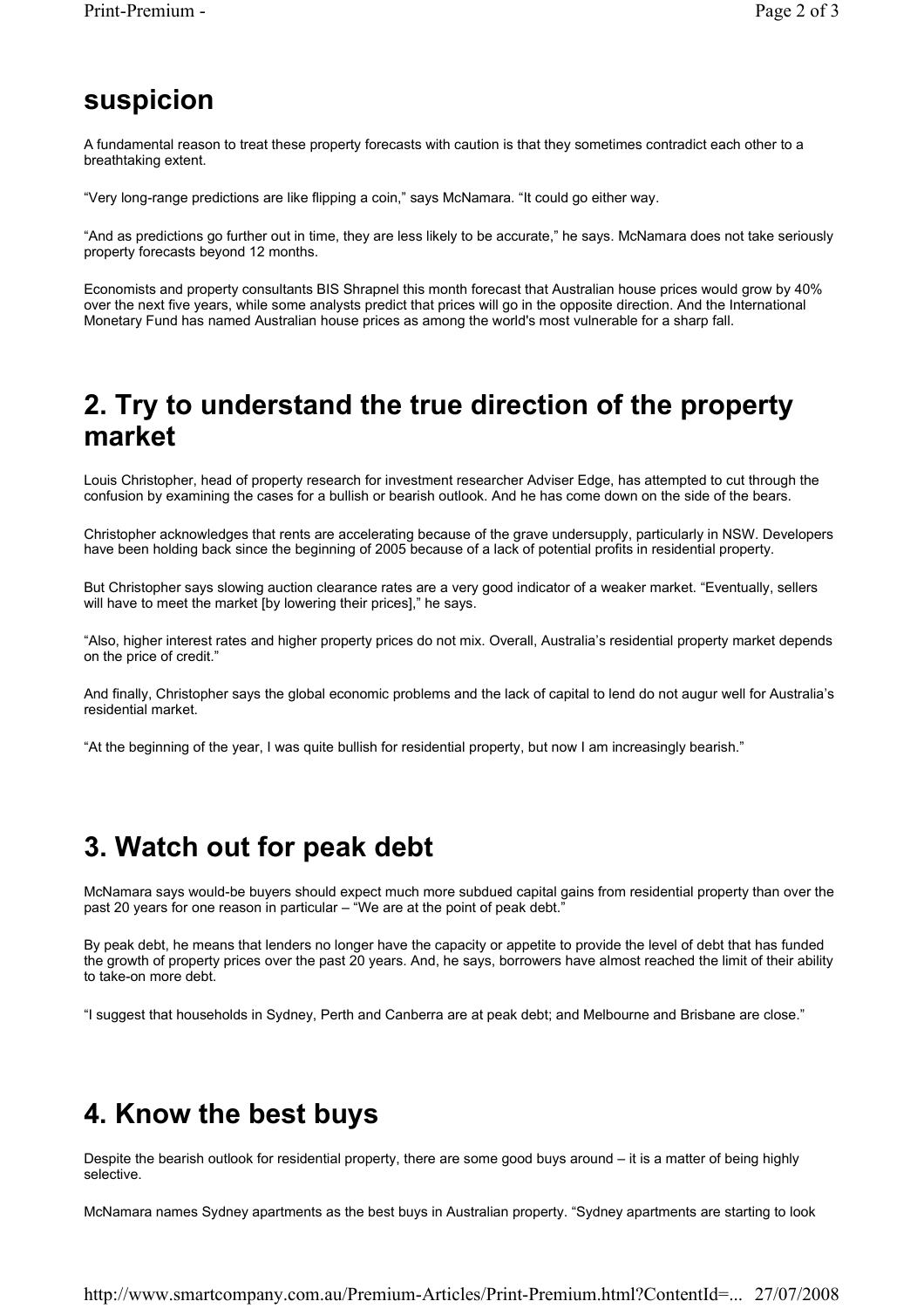#### suspicion

A fundamental reason to treat these property forecasts with caution is that they sometimes contradict each other to a breathtaking extent.

"Very long-range predictions are like flipping a coin," says McNamara. "It could go either way.

"And as predictions go further out in time, they are less likely to be accurate," he says. McNamara does not take seriously property forecasts beyond 12 months.

Economists and property consultants BIS Shrapnel this month forecast that Australian house prices would grow by 40% over the next five years, while some analysts predict that prices will go in the opposite direction. And the International Monetary Fund has named Australian house prices as among the world's most vulnerable for a sharp fall.

#### 2. Try to understand the true direction of the property market

Louis Christopher, head of property research for investment researcher Adviser Edge, has attempted to cut through the confusion by examining the cases for a bullish or bearish outlook. And he has come down on the side of the bears.

Christopher acknowledges that rents are accelerating because of the grave undersupply, particularly in NSW. Developers have been holding back since the beginning of 2005 because of a lack of potential profits in residential property.

But Christopher says slowing auction clearance rates are a very good indicator of a weaker market. "Eventually, sellers will have to meet the market [by lowering their prices]," he says.

"Also, higher interest rates and higher property prices do not mix. Overall, Australia's residential property market depends on the price of credit."

And finally, Christopher says the global economic problems and the lack of capital to lend do not augur well for Australia's residential market.

"At the beginning of the year, I was quite bullish for residential property, but now I am increasingly bearish."

#### 3. Watch out for peak debt

McNamara says would-be buyers should expect much more subdued capital gains from residential property than over the past 20 years for one reason in particular – "We are at the point of peak debt."

By peak debt, he means that lenders no longer have the capacity or appetite to provide the level of debt that has funded the growth of property prices over the past 20 years. And, he says, borrowers have almost reached the limit of their ability to take-on more debt.

"I suggest that households in Sydney, Perth and Canberra are at peak debt; and Melbourne and Brisbane are close."

#### 4. Know the best buys

Despite the bearish outlook for residential property, there are some good buys around – it is a matter of being highly selective.

McNamara names Sydney apartments as the best buys in Australian property. "Sydney apartments are starting to look